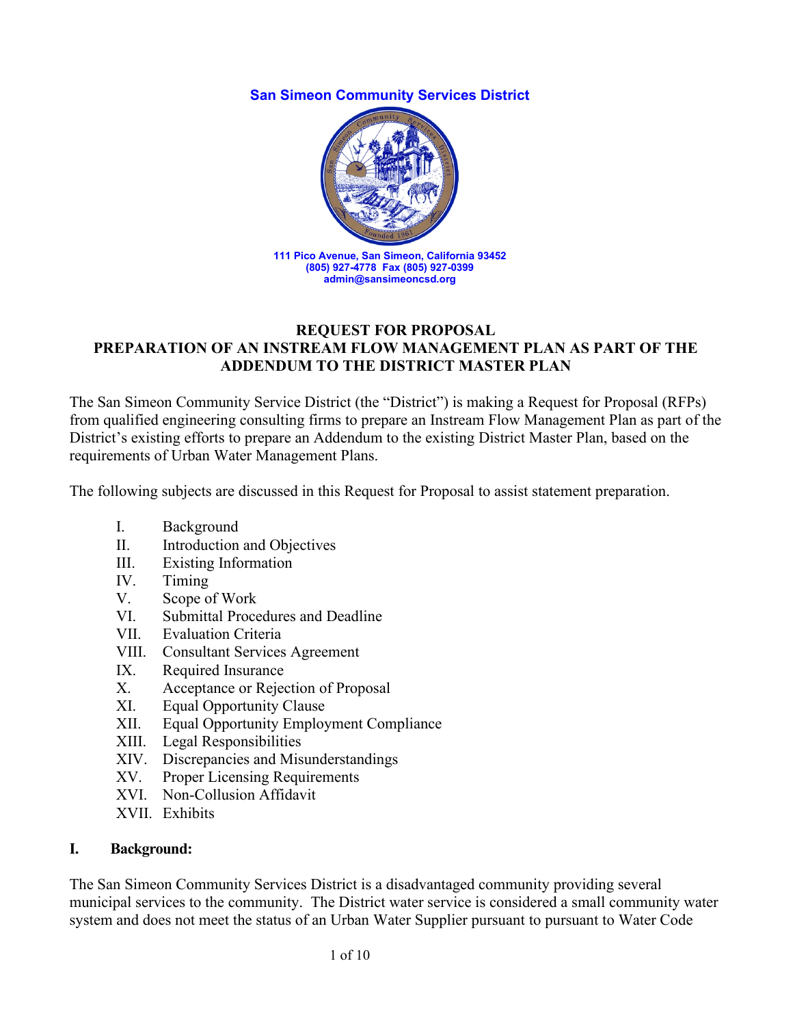#### **San Simeon Community Services District**



#### **REQUEST FOR PROPOSAL PREPARATION OF AN INSTREAM FLOW MANAGEMENT PLAN AS PART OF THE ADDENDUM TO THE DISTRICT MASTER PLAN**

The San Simeon Community Service District (the "District") is making a Request for Proposal (RFPs) from qualified engineering consulting firms to prepare an Instream Flow Management Plan as part of the District's existing efforts to prepare an Addendum to the existing District Master Plan, based on the requirements of Urban Water Management Plans.

The following subjects are discussed in this Request for Proposal to assist statement preparation.

- I. Background
- II. Introduction and Objectives
- III. Existing Information
- IV. Timing
- V. Scope of Work
- VI. Submittal Procedures and Deadline
- VII. Evaluation Criteria
- VIII. Consultant Services Agreement
- IX. Required Insurance
- X. Acceptance or Rejection of Proposal
- XI. Equal Opportunity Clause
- XII. Equal Opportunity Employment Compliance
- XIII. Legal Responsibilities
- XIV. Discrepancies and Misunderstandings
- XV. Proper Licensing Requirements
- XVI. Non-Collusion Affidavit
- XVII. Exhibits

#### **I. Background:**

The San Simeon Community Services District is a disadvantaged community providing several municipal services to the community. The District water service is considered a small community water system and does not meet the status of an Urban Water Supplier pursuant to pursuant to Water Code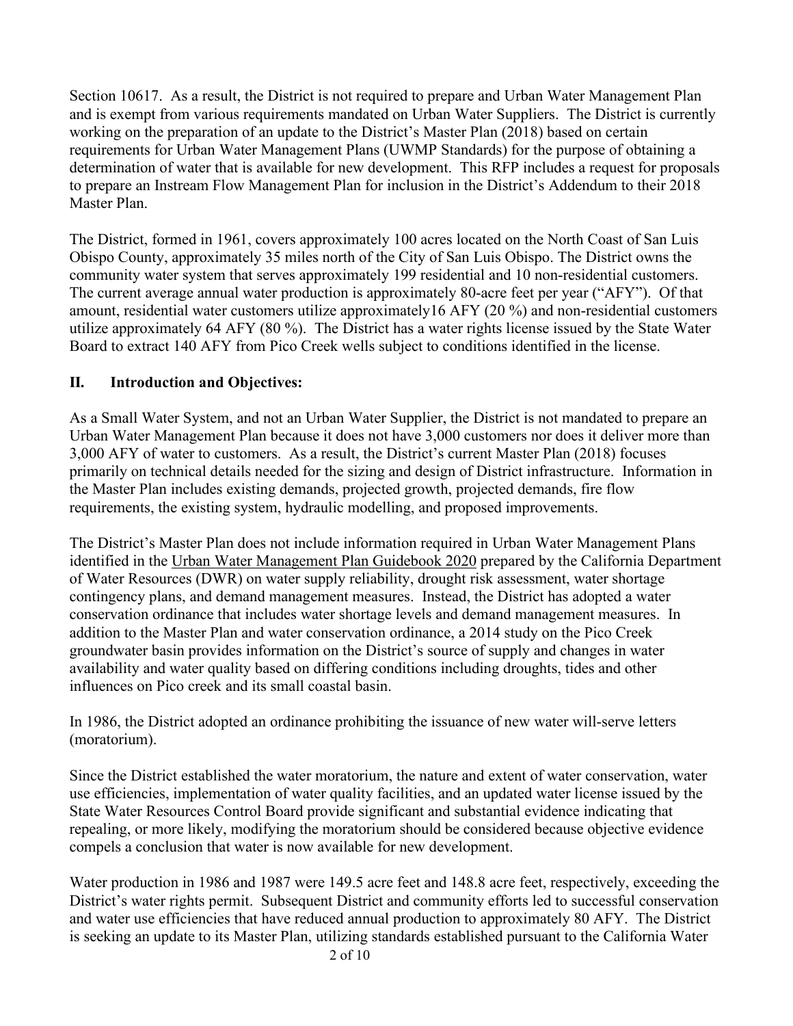Section 10617. As a result, the District is not required to prepare and Urban Water Management Plan and is exempt from various requirements mandated on Urban Water Suppliers. The District is currently working on the preparation of an update to the District's Master Plan (2018) based on certain requirements for Urban Water Management Plans (UWMP Standards) for the purpose of obtaining a determination of water that is available for new development. This RFP includes a request for proposals to prepare an Instream Flow Management Plan for inclusion in the District's Addendum to their 2018 Master Plan.

The District, formed in 1961, covers approximately 100 acres located on the North Coast of San Luis Obispo County, approximately 35 miles north of the City of San Luis Obispo. The District owns the community water system that serves approximately 199 residential and 10 non-residential customers. The current average annual water production is approximately 80-acre feet per year ("AFY"). Of that amount, residential water customers utilize approximately16 AFY (20 %) and non-residential customers utilize approximately 64 AFY (80 %). The District has a water rights license issued by the State Water Board to extract 140 AFY from Pico Creek wells subject to conditions identified in the license.

### **II. Introduction and Objectives:**

As a Small Water System, and not an Urban Water Supplier, the District is not mandated to prepare an Urban Water Management Plan because it does not have 3,000 customers nor does it deliver more than 3,000 AFY of water to customers. As a result, the District's current Master Plan (2018) focuses primarily on technical details needed for the sizing and design of District infrastructure. Information in the Master Plan includes existing demands, projected growth, projected demands, fire flow requirements, the existing system, hydraulic modelling, and proposed improvements.

The District's Master Plan does not include information required in Urban Water Management Plans identified in the Urban Water Management Plan Guidebook 2020 prepared by the California Department of Water Resources (DWR) on water supply reliability, drought risk assessment, water shortage contingency plans, and demand management measures. Instead, the District has adopted a water conservation ordinance that includes water shortage levels and demand management measures. In addition to the Master Plan and water conservation ordinance, a 2014 study on the Pico Creek groundwater basin provides information on the District's source of supply and changes in water availability and water quality based on differing conditions including droughts, tides and other influences on Pico creek and its small coastal basin.

In 1986, the District adopted an ordinance prohibiting the issuance of new water will-serve letters (moratorium).

Since the District established the water moratorium, the nature and extent of water conservation, water use efficiencies, implementation of water quality facilities, and an updated water license issued by the State Water Resources Control Board provide significant and substantial evidence indicating that repealing, or more likely, modifying the moratorium should be considered because objective evidence compels a conclusion that water is now available for new development.

Water production in 1986 and 1987 were 149.5 acre feet and 148.8 acre feet, respectively, exceeding the District's water rights permit. Subsequent District and community efforts led to successful conservation and water use efficiencies that have reduced annual production to approximately 80 AFY. The District is seeking an update to its Master Plan, utilizing standards established pursuant to the California Water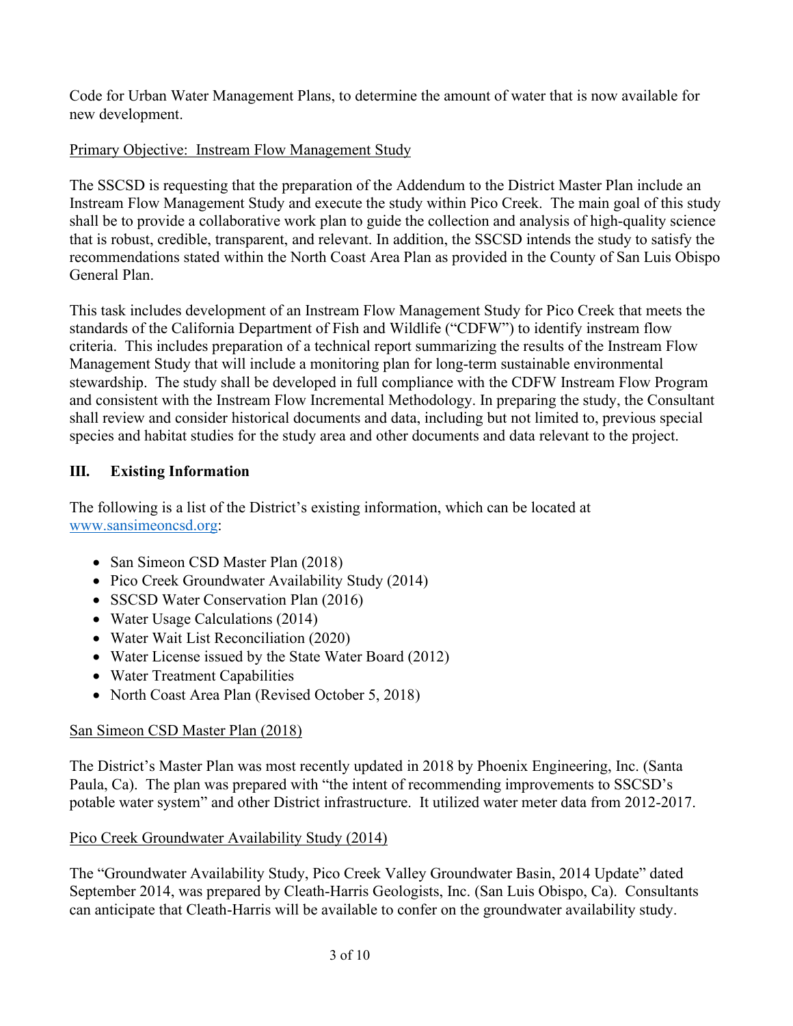Code for Urban Water Management Plans, to determine the amount of water that is now available for new development.

# Primary Objective: Instream Flow Management Study

The SSCSD is requesting that the preparation of the Addendum to the District Master Plan include an Instream Flow Management Study and execute the study within Pico Creek. The main goal of this study shall be to provide a collaborative work plan to guide the collection and analysis of high-quality science that is robust, credible, transparent, and relevant. In addition, the SSCSD intends the study to satisfy the recommendations stated within the North Coast Area Plan as provided in the County of San Luis Obispo General Plan.

This task includes development of an Instream Flow Management Study for Pico Creek that meets the standards of the California Department of Fish and Wildlife ("CDFW") to identify instream flow criteria. This includes preparation of a technical report summarizing the results of the Instream Flow Management Study that will include a monitoring plan for long-term sustainable environmental stewardship. The study shall be developed in full compliance with the CDFW Instream Flow Program and consistent with the Instream Flow Incremental Methodology. In preparing the study, the Consultant shall review and consider historical documents and data, including but not limited to, previous special species and habitat studies for the study area and other documents and data relevant to the project.

## **III. Existing Information**

The following is a list of the District's existing information, which can be located at [www.sansimeoncsd.org:](http://www.sansimeoncsd.org/)

- San Simeon CSD Master Plan (2018)
- Pico Creek Groundwater Availability Study (2014)
- SSCSD Water Conservation Plan (2016)
- Water Usage Calculations (2014)
- Water Wait List Reconciliation (2020)
- Water License issued by the State Water Board (2012)
- Water Treatment Capabilities
- North Coast Area Plan (Revised October 5, 2018)

## San Simeon CSD Master Plan (2018)

The District's Master Plan was most recently updated in 2018 by Phoenix Engineering, Inc. (Santa Paula, Ca). The plan was prepared with "the intent of recommending improvements to SSCSD's potable water system" and other District infrastructure. It utilized water meter data from 2012-2017.

## Pico Creek Groundwater Availability Study (2014)

The "Groundwater Availability Study, Pico Creek Valley Groundwater Basin, 2014 Update" dated September 2014, was prepared by Cleath-Harris Geologists, Inc. (San Luis Obispo, Ca). Consultants can anticipate that Cleath-Harris will be available to confer on the groundwater availability study.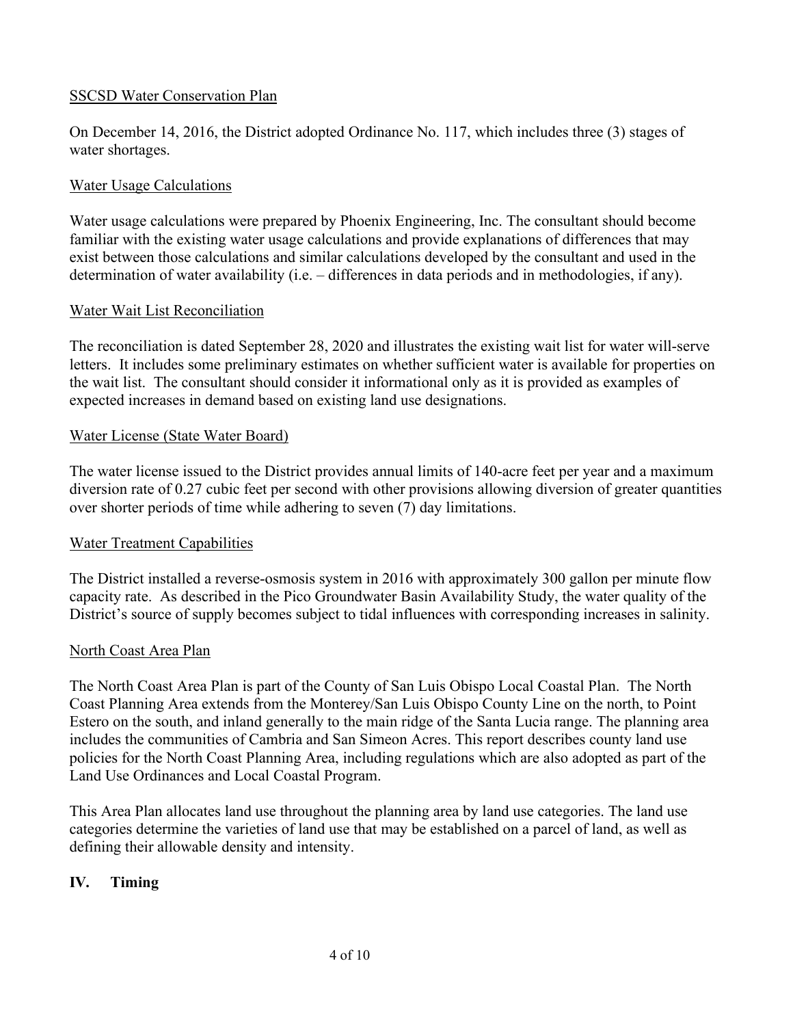### SSCSD Water Conservation Plan

On December 14, 2016, the District adopted Ordinance No. 117, which includes three (3) stages of water shortages.

### Water Usage Calculations

Water usage calculations were prepared by Phoenix Engineering, Inc. The consultant should become familiar with the existing water usage calculations and provide explanations of differences that may exist between those calculations and similar calculations developed by the consultant and used in the determination of water availability (i.e. – differences in data periods and in methodologies, if any).

### Water Wait List Reconciliation

The reconciliation is dated September 28, 2020 and illustrates the existing wait list for water will-serve letters. It includes some preliminary estimates on whether sufficient water is available for properties on the wait list. The consultant should consider it informational only as it is provided as examples of expected increases in demand based on existing land use designations.

### Water License (State Water Board)

The water license issued to the District provides annual limits of 140-acre feet per year and a maximum diversion rate of 0.27 cubic feet per second with other provisions allowing diversion of greater quantities over shorter periods of time while adhering to seven (7) day limitations.

### Water Treatment Capabilities

The District installed a reverse-osmosis system in 2016 with approximately 300 gallon per minute flow capacity rate. As described in the Pico Groundwater Basin Availability Study, the water quality of the District's source of supply becomes subject to tidal influences with corresponding increases in salinity.

### North Coast Area Plan

The North Coast Area Plan is part of the County of San Luis Obispo Local Coastal Plan. The North Coast Planning Area extends from the Monterey/San Luis Obispo County Line on the north, to Point Estero on the south, and inland generally to the main ridge of the Santa Lucia range. The planning area includes the communities of Cambria and San Simeon Acres. This report describes county land use policies for the North Coast Planning Area, including regulations which are also adopted as part of the Land Use Ordinances and Local Coastal Program.

This Area Plan allocates land use throughout the planning area by land use categories. The land use categories determine the varieties of land use that may be established on a parcel of land, as well as defining their allowable density and intensity.

## **IV. Timing**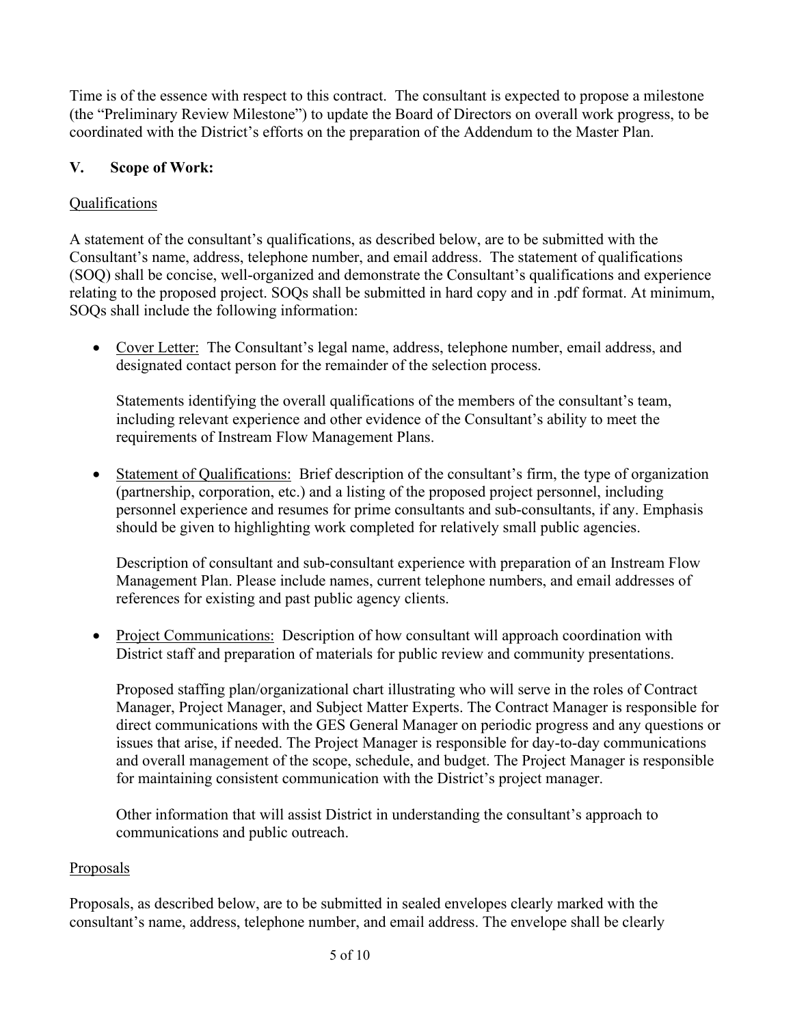Time is of the essence with respect to this contract. The consultant is expected to propose a milestone (the "Preliminary Review Milestone") to update the Board of Directors on overall work progress, to be coordinated with the District's efforts on the preparation of the Addendum to the Master Plan.

## **V. Scope of Work:**

### Qualifications

A statement of the consultant's qualifications, as described below, are to be submitted with the Consultant's name, address, telephone number, and email address. The statement of qualifications (SOQ) shall be concise, well-organized and demonstrate the Consultant's qualifications and experience relating to the proposed project. SOQs shall be submitted in hard copy and in .pdf format. At minimum, SOQs shall include the following information:

• Cover Letter: The Consultant's legal name, address, telephone number, email address, and designated contact person for the remainder of the selection process.

Statements identifying the overall qualifications of the members of the consultant's team, including relevant experience and other evidence of the Consultant's ability to meet the requirements of Instream Flow Management Plans.

• Statement of Qualifications: Brief description of the consultant's firm, the type of organization (partnership, corporation, etc.) and a listing of the proposed project personnel, including personnel experience and resumes for prime consultants and sub-consultants, if any. Emphasis should be given to highlighting work completed for relatively small public agencies.

Description of consultant and sub-consultant experience with preparation of an Instream Flow Management Plan. Please include names, current telephone numbers, and email addresses of references for existing and past public agency clients.

• Project Communications: Description of how consultant will approach coordination with District staff and preparation of materials for public review and community presentations.

Proposed staffing plan/organizational chart illustrating who will serve in the roles of Contract Manager, Project Manager, and Subject Matter Experts. The Contract Manager is responsible for direct communications with the GES General Manager on periodic progress and any questions or issues that arise, if needed. The Project Manager is responsible for day-to-day communications and overall management of the scope, schedule, and budget. The Project Manager is responsible for maintaining consistent communication with the District's project manager.

Other information that will assist District in understanding the consultant's approach to communications and public outreach.

### **Proposals**

Proposals, as described below, are to be submitted in sealed envelopes clearly marked with the consultant's name, address, telephone number, and email address. The envelope shall be clearly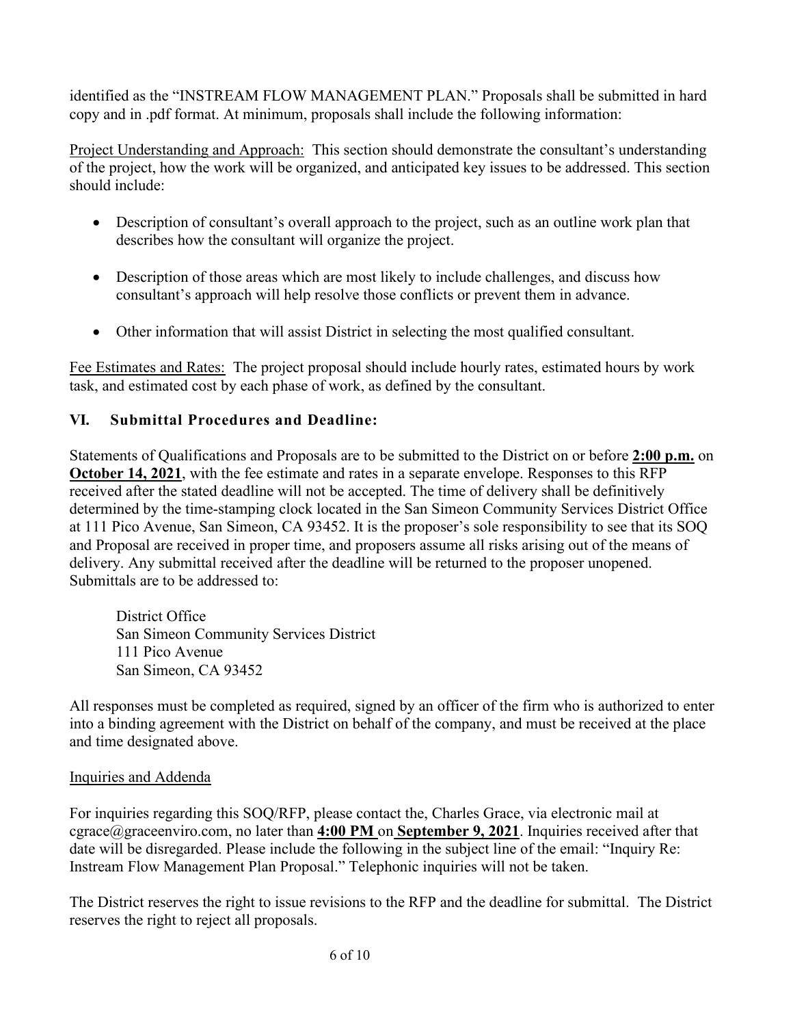identified as the "INSTREAM FLOW MANAGEMENT PLAN." Proposals shall be submitted in hard copy and in .pdf format. At minimum, proposals shall include the following information:

Project Understanding and Approach: This section should demonstrate the consultant's understanding of the project, how the work will be organized, and anticipated key issues to be addressed. This section should include:

- Description of consultant's overall approach to the project, such as an outline work plan that describes how the consultant will organize the project.
- Description of those areas which are most likely to include challenges, and discuss how consultant's approach will help resolve those conflicts or prevent them in advance.
- Other information that will assist District in selecting the most qualified consultant.

Fee Estimates and Rates: The project proposal should include hourly rates, estimated hours by work task, and estimated cost by each phase of work, as defined by the consultant.

## **VI. Submittal Procedures and Deadline:**

Statements of Qualifications and Proposals are to be submitted to the District on or before **2:00 p.m.** on **October 14, 2021**, with the fee estimate and rates in a separate envelope. Responses to this RFP received after the stated deadline will not be accepted. The time of delivery shall be definitively determined by the time-stamping clock located in the San Simeon Community Services District Office at 111 Pico Avenue, San Simeon, CA 93452. It is the proposer's sole responsibility to see that its SOQ and Proposal are received in proper time, and proposers assume all risks arising out of the means of delivery. Any submittal received after the deadline will be returned to the proposer unopened. Submittals are to be addressed to:

District Office San Simeon Community Services District 111 Pico Avenue San Simeon, CA 93452

All responses must be completed as required, signed by an officer of the firm who is authorized to enter into a binding agreement with the District on behalf of the company, and must be received at the place and time designated above.

### Inquiries and Addenda

For inquiries regarding this SOQ/RFP, please contact the, Charles Grace, via electronic mail at cgrace@graceenviro.com, no later than **4:00 PM** on **September 9, 2021**. Inquiries received after that date will be disregarded. Please include the following in the subject line of the email: "Inquiry Re: Instream Flow Management Plan Proposal." Telephonic inquiries will not be taken.

The District reserves the right to issue revisions to the RFP and the deadline for submittal. The District reserves the right to reject all proposals.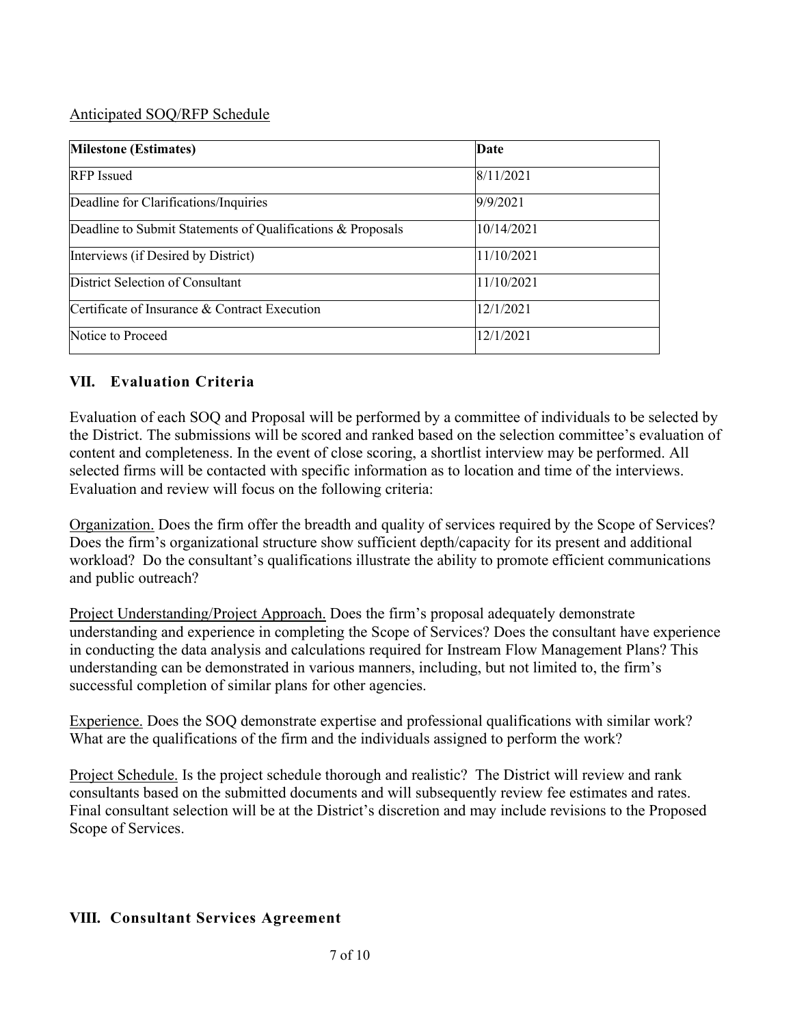#### Anticipated SOQ/RFP Schedule

| <b>Milestone (Estimates)</b>                                | Date       |  |
|-------------------------------------------------------------|------------|--|
| <b>RFP</b> Issued                                           | 8/11/2021  |  |
| Deadline for Clarifications/Inquiries                       | 9/9/2021   |  |
| Deadline to Submit Statements of Qualifications & Proposals | 10/14/2021 |  |
| Interviews (if Desired by District)                         | 11/10/2021 |  |
| District Selection of Consultant                            | 11/10/2021 |  |
| Certificate of Insurance & Contract Execution               | 12/1/2021  |  |
| Notice to Proceed                                           | 12/1/2021  |  |

### **VII. Evaluation Criteria**

Evaluation of each SOQ and Proposal will be performed by a committee of individuals to be selected by the District. The submissions will be scored and ranked based on the selection committee's evaluation of content and completeness. In the event of close scoring, a shortlist interview may be performed. All selected firms will be contacted with specific information as to location and time of the interviews. Evaluation and review will focus on the following criteria:

Organization. Does the firm offer the breadth and quality of services required by the Scope of Services? Does the firm's organizational structure show sufficient depth/capacity for its present and additional workload? Do the consultant's qualifications illustrate the ability to promote efficient communications and public outreach?

Project Understanding/Project Approach. Does the firm's proposal adequately demonstrate understanding and experience in completing the Scope of Services? Does the consultant have experience in conducting the data analysis and calculations required for Instream Flow Management Plans? This understanding can be demonstrated in various manners, including, but not limited to, the firm's successful completion of similar plans for other agencies.

Experience. Does the SOQ demonstrate expertise and professional qualifications with similar work? What are the qualifications of the firm and the individuals assigned to perform the work?

Project Schedule. Is the project schedule thorough and realistic? The District will review and rank consultants based on the submitted documents and will subsequently review fee estimates and rates. Final consultant selection will be at the District's discretion and may include revisions to the Proposed Scope of Services.

### **VIII. Consultant Services Agreement**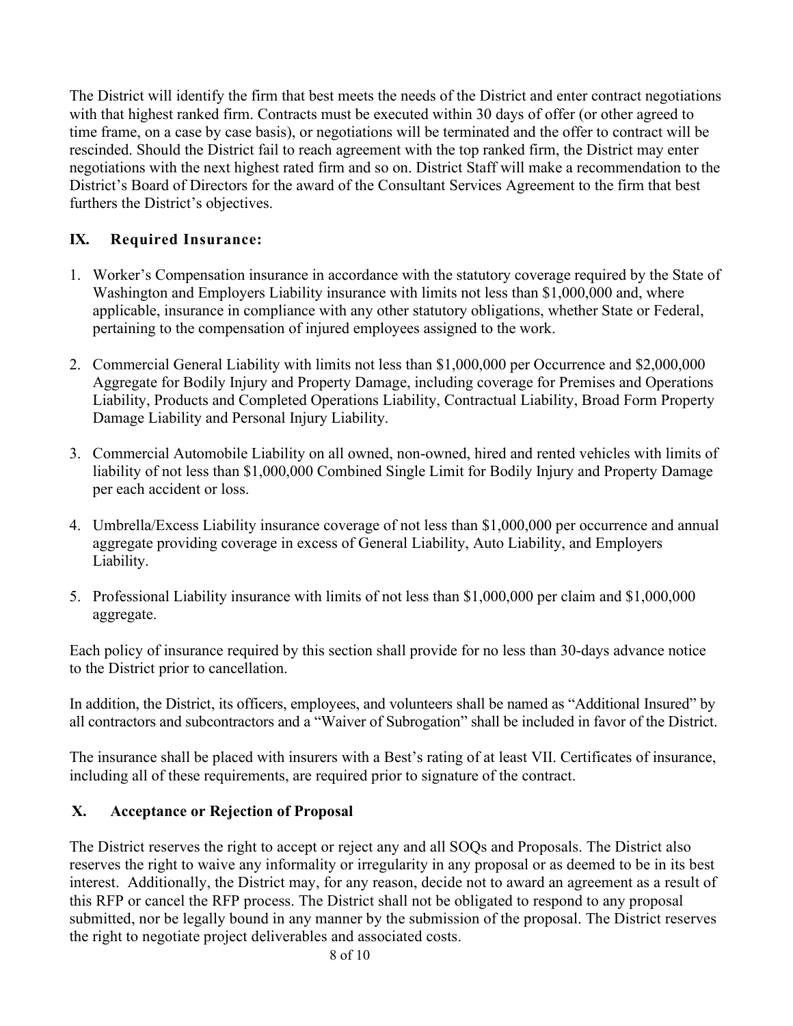The District will identify the firm that best meets the needs of the District and enter contract negotiations with that highest ranked firm. Contracts must be executed within 30 days of offer (or other agreed to time frame, on a case by case basis), or negotiations will be terminated and the offer to contract will be rescinded. Should the District fail to reach agreement with the top ranked firm, the District may enter negotiations with the next highest rated firm and so on. District Staff will make a recommendation to the District's Board of Directors for the award of the Consultant Services Agreement to the firm that best furthers the District's objectives.

# **IX. Required Insurance:**

- 1. Worker's Compensation insurance in accordance with the statutory coverage required by the State of Washington and Employers Liability insurance with limits not less than \$1,000,000 and, where applicable, insurance in compliance with any other statutory obligations, whether State or Federal, pertaining to the compensation of injured employees assigned to the work.
- 2. Commercial General Liability with limits not less than \$1,000,000 per Occurrence and \$2,000,000 Aggregate for Bodily Injury and Property Damage, including coverage for Premises and Operations Liability, Products and Completed Operations Liability, Contractual Liability, Broad Form Property Damage Liability and Personal Injury Liability.
- 3. Commercial Automobile Liability on all owned, non-owned, hired and rented vehicles with limits of liability of not less than \$1,000,000 Combined Single Limit for Bodily Injury and Property Damage per each accident or loss.
- 4. Umbrella/Excess Liability insurance coverage of not less than \$1,000,000 per occurrence and annual aggregate providing coverage in excess of General Liability, Auto Liability, and Employers Liability.
- 5. Professional Liability insurance with limits of not less than \$1,000,000 per claim and \$1,000,000 aggregate.

Each policy of insurance required by this section shall provide for no less than 30-days advance notice to the District prior to cancellation.

In addition, the District, its officers, employees, and volunteers shall be named as "Additional Insured" by all contractors and subcontractors and a "Waiver of Subrogation" shall be included in favor of the District.

The insurance shall be placed with insurers with a Best's rating of at least VII. Certificates of insurance, including all of these requirements, are required prior to signature of the contract.

## **X. Acceptance or Rejection of Proposal**

The District reserves the right to accept or reject any and all SOQs and Proposals. The District also reserves the right to waive any informality or irregularity in any proposal or as deemed to be in its best interest. Additionally, the District may, for any reason, decide not to award an agreement as a result of this RFP or cancel the RFP process. The District shall not be obligated to respond to any proposal submitted, nor be legally bound in any manner by the submission of the proposal. The District reserves the right to negotiate project deliverables and associated costs.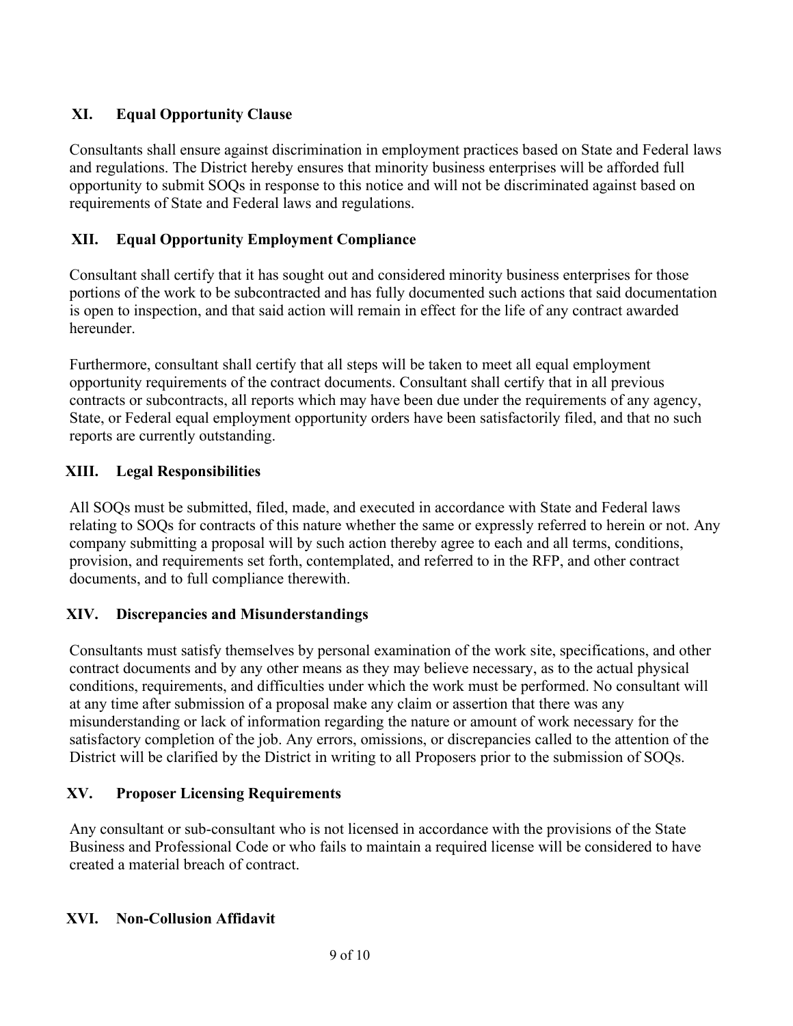# **XI. Equal Opportunity Clause**

Consultants shall ensure against discrimination in employment practices based on State and Federal laws and regulations. The District hereby ensures that minority business enterprises will be afforded full opportunity to submit SOQs in response to this notice and will not be discriminated against based on requirements of State and Federal laws and regulations.

## **XII. Equal Opportunity Employment Compliance**

Consultant shall certify that it has sought out and considered minority business enterprises for those portions of the work to be subcontracted and has fully documented such actions that said documentation is open to inspection, and that said action will remain in effect for the life of any contract awarded hereunder.

Furthermore, consultant shall certify that all steps will be taken to meet all equal employment opportunity requirements of the contract documents. Consultant shall certify that in all previous contracts or subcontracts, all reports which may have been due under the requirements of any agency, State, or Federal equal employment opportunity orders have been satisfactorily filed, and that no such reports are currently outstanding.

## **XIII. Legal Responsibilities**

All SOQs must be submitted, filed, made, and executed in accordance with State and Federal laws relating to SOQs for contracts of this nature whether the same or expressly referred to herein or not. Any company submitting a proposal will by such action thereby agree to each and all terms, conditions, provision, and requirements set forth, contemplated, and referred to in the RFP, and other contract documents, and to full compliance therewith.

## **XIV. Discrepancies and Misunderstandings**

Consultants must satisfy themselves by personal examination of the work site, specifications, and other contract documents and by any other means as they may believe necessary, as to the actual physical conditions, requirements, and difficulties under which the work must be performed. No consultant will at any time after submission of a proposal make any claim or assertion that there was any misunderstanding or lack of information regarding the nature or amount of work necessary for the satisfactory completion of the job. Any errors, omissions, or discrepancies called to the attention of the District will be clarified by the District in writing to all Proposers prior to the submission of SOQs.

## **XV. Proposer Licensing Requirements**

Any consultant or sub-consultant who is not licensed in accordance with the provisions of the State Business and Professional Code or who fails to maintain a required license will be considered to have created a material breach of contract.

## **XVI. Non-Collusion Affidavit**